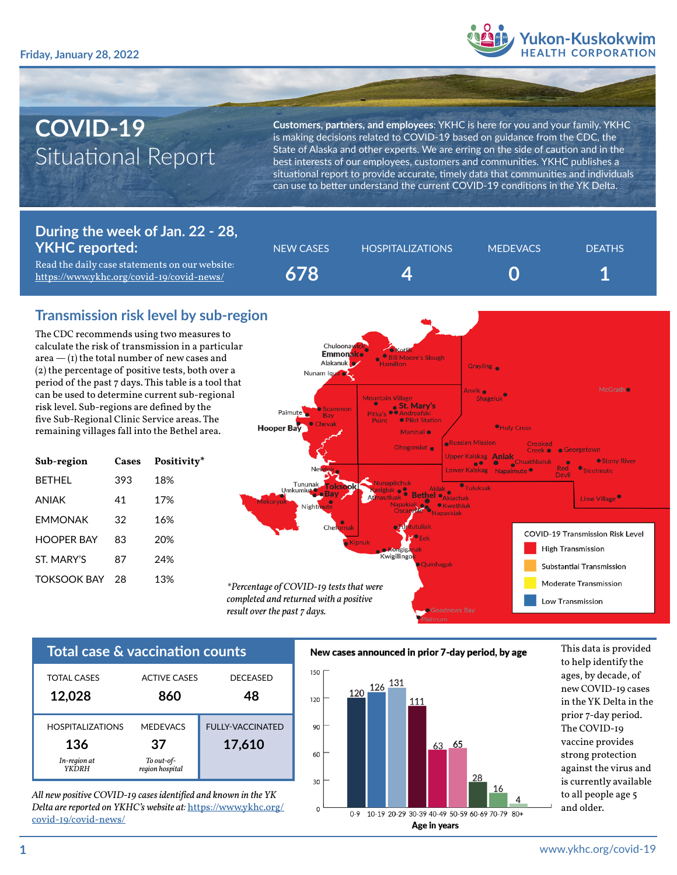

# **COVID-19** Situational Report

**Customers, partners, and employees**: YKHC is here for you and your family. YKHC is making decisions related to COVID-19 based on guidance from the CDC, the State of Alaska and other experts. We are erring on the side of caution and in the best interests of our employees, customers and communities. YKHC publishes a situational report to provide accurate, timely data that communities and individuals can use to better understand the current COVID-19 conditions in the YK Delta.

#### **During the week of Jan. 22 - 28, YKHC reported:**

Read the daily case statements on our website: <https://www.ykhc.org/covid-19/covid-news/>



## **Transmission risk level by sub-region**

The CDC recommends using two measures to calculate the risk of transmission in a particular area  $-$  (1) the total number of new cases and (2) the percentage of positive tests, both over a period of the past 7 days. This table is a tool that can be used to determine current sub-regional risk level. Sub-regions are defined by the five Sub-Regional Clinic Service areas. The remaining villages fall into the Bethel area.

| Sub-region         | Cases | Positivity* |
|--------------------|-------|-------------|
| <b>BFTHFI</b>      | 393   | 18%         |
| ANIAK              | 41    | 17%         |
| <b>FMMONAK</b>     | 32    | 16%         |
| HOOPFR BAY         | 83    | 20%         |
| ST MARY'S          | 87    | 24%         |
| <b>TOKSOOK BAY</b> | 28    | 13%         |
|                    |       |             |



| <b>TOTAL CASES</b>                                              | <b>ACTIVE CASES</b>                                    | <b>DECEASED</b>                   |
|-----------------------------------------------------------------|--------------------------------------------------------|-----------------------------------|
| 12,028                                                          | 860                                                    | 48                                |
| <b>HOSPITAL IZATIONS</b><br>136<br>In-region at<br><b>YKDRH</b> | <b>MEDEVACS</b><br>37<br>To out-of-<br>region hospital | <b>FULLY-VACCINATED</b><br>17,610 |

*All new positive COVID-19 cases identified and known in the YK Delta are reported on YKHC's website at:* [https://www.ykhc.org/](https://www.ykhc.org/covid-19/covid-news/) [covid-19/covid-news/](https://www.ykhc.org/covid-19/covid-news/)





to help identify the ages, by decade, of new COVID-19 cases in the YK Delta in the prior 7-day period. The COVID-19 vaccine provides strong protection against the virus and is currently available to all people age 5 and older.